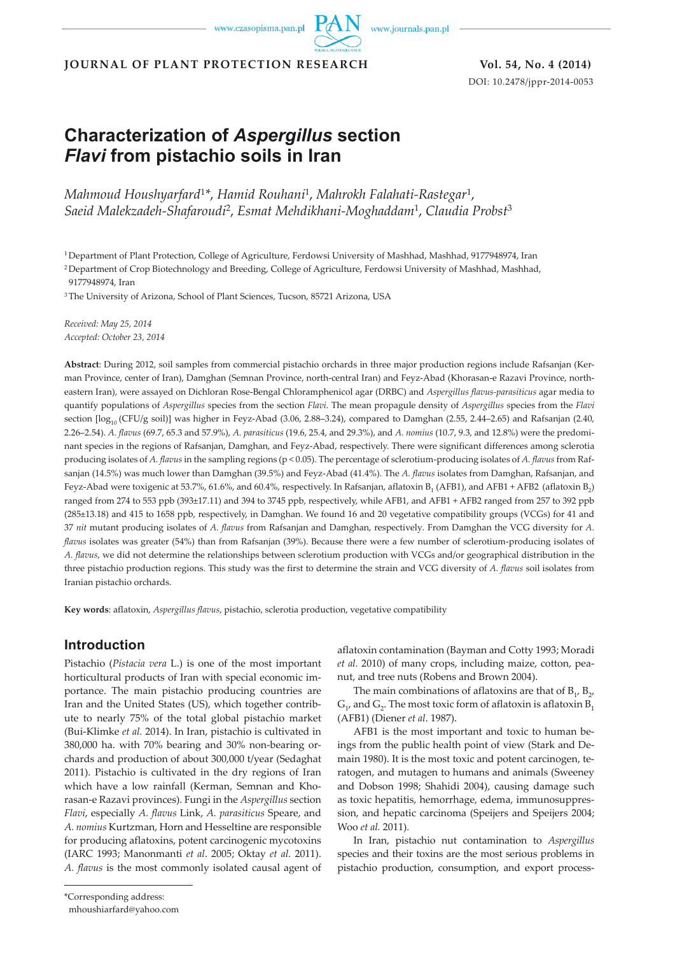www.journals.pan.pl

**JOURNAL OF PLANT PROTECTION RESEARCH Vol. 54, No. 4 (2014)**

DOI: 10.2478/jppr-2014-0053

# **Characterization of** *Aspergillus* **section**  *Flavi* **from pistachio soils in Iran**

*Mahmoud Houshyarfard*<sup>1</sup>*\**, *Hamid Rouhani*1, *Mahrokh Falahati-Rastegar*1, *Saeid Malekzadeh-Shafaroudi*2, *Esmat Mehdikhani-Moghaddam*1, *Claudia Probst*<sup>3</sup>

1 Department of Plant Protection, College of Agriculture, Ferdowsi University of Mashhad, Mashhad, 9177948974, Iran

2 Department of Crop Biotechnology and Breeding, College of Agriculture, Ferdowsi University of Mashhad, Mashhad,

9177948974, Iran

3 The University of Arizona, School of Plant Sciences, Tucson, 85721 Arizona, USA

*Received: May 25, 2014 Accepted: October 23, 2014*

**Abstract**: During 2012, soil samples from commercial pistachio orchards in three major production regions include Rafsanjan (Kerman Province, center of Iran), Damghan (Semnan Province, north-central Iran) and Feyz-Abad (Khorasan-e Razavi Province, northeastern Iran), were assayed on Dichloran Rose-Bengal Chloramphenicol agar (DRBC) and *Aspergillus flavus-parasiticus* agar media to quantify populations of *Aspergillus* species from the section *Flavi*. The mean propagule density of *Aspergillus* species from the *Flavi* section  $[\log_{10} (CFU/g \text{ soil})]$  was higher in Feyz-Abad (3.06, 2.88–3.24), compared to Damghan (2.55, 2.44–2.65) and Rafsanjan (2.40, 2.26–2.54). *A. flavus* (69.7, 65.3 and 57.9%), *A. parasiticus* (19.6, 25.4, and 29.3%), and *A. nomius* (10.7, 9.3, and 12.8%) were the predominant species in the regions of Rafsanjan, Damghan, and Feyz-Abad, respectively. There were significant differences among sclerotia producing isolates of *A. flavus* in the sampling regions (p < 0.05). The percentage of sclerotium-producing isolates of *A. flavus* from Rafsanjan (14.5%) was much lower than Damghan (39.5%) and Feyz-Abad (41.4%). The *A. flavus* isolates from Damghan, Rafsanjan, and Feyz-Abad were toxigenic at 53.7%, 61.6%, and 60.4%, respectively. In Rafsanjan, aflatoxin B<sub>1</sub> (AFB1), and AFB1 + AFB2 (aflatoxin B<sub>2</sub>) ranged from 274 to 553 ppb (393±17.11) and 394 to 3745 ppb, respectively, while AFB1, and AFB1 + AFB2 ranged from 257 to 392 ppb (285±13.18) and 415 to 1658 ppb, respectively, in Damghan. We found 16 and 20 vegetative compatibility groups (VCGs) for 41 and 37 *nit* mutant producing isolates of *A. flavus* from Rafsanjan and Damghan, respectively*.* From Damghan the VCG diversity for *A. flavus* isolates was greater (54%) than from Rafsanjan (39%). Because there were a few number of sclerotium-producing isolates of *A. flavus*, we did not determine the relationships between sclerotium production with VCGs and/or geographical distribution in the three pistachio production regions. This study was the first to determine the strain and VCG diversity of *A. flavus* soil isolates from Iranian pistachio orchards.

**Key words**: aflatoxin, *Aspergillus flavus*, pistachio, sclerotia production, vegetative compatibility

# **Introduction**

Pistachio (*Pistacia vera* L.) is one of the most important horticultural products of Iran with special economic importance. The main pistachio producing countries are Iran and the United States (US), which together contribute to nearly 75% of the total global pistachio market (Bui-Klimke *et al.* 2014). In Iran, pistachio is cultivated in 380,000 ha. with 70% bearing and 30% non-bearing orchards and production of about 300,000 t/year (Sedaghat 2011). Pistachio is cultivated in the dry regions of Iran which have a low rainfall (Kerman, Semnan and Khorasan-e Razavi provinces). Fungi in the *Aspergillus* section *Flavi*, especially *A. flavus* Link, *A. parasiticus* Speare, and *A. nomius* Kurtzman, Horn and Hesseltine are responsible for producing aflatoxins, potent carcinogenic mycotoxins (IARC 1993; Manonmanti *et al*. 2005; Oktay *et al*. 2011). *A. flavus* is the most commonly isolated causal agent of

aflatoxin contamination (Bayman and Cotty 1993; Moradi *et al.* 2010) of many crops, including maize, cotton, peanut, and tree nuts (Robens and Brown 2004).

The main combinations of aflatoxins are that of  $B_1$ ,  $B_2$ ,  $G_1$ , and  $G_2$ . The most toxic form of aflatoxin is aflatoxin  $B_1$ (AFB1) (Diener *et al*. 1987).

AFB1 is the most important and toxic to human beings from the public health point of view (Stark and Demain 1980). It is the most toxic and potent carcinogen, teratogen, and mutagen to humans and animals (Sweeney and Dobson 1998; Shahidi 2004), causing damage such as toxic hepatitis, hemorrhage, edema, immunosuppression, and hepatic carcinoma (Speijers and Speijers 2004; Woo *et al.* 2011).

In Iran, pistachio nut contamination to *Aspergillus*  species and their toxins are the most serious problems in pistachio production, consumption, and export process-

mhoushiarfard@yahoo.com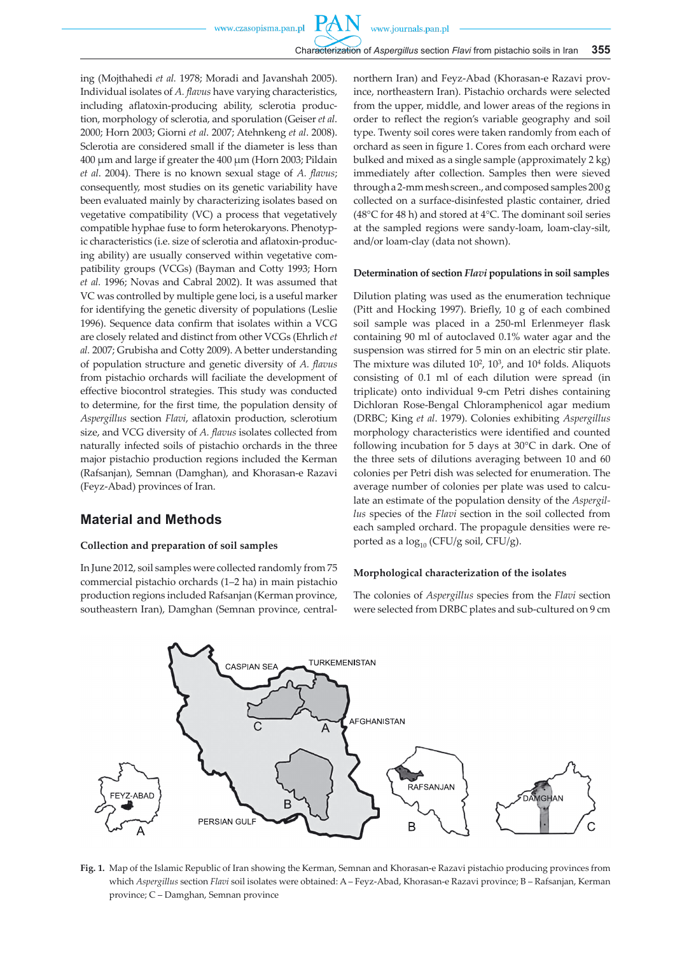ing (Mojthahedi *et al.* 1978; Moradi and Javanshah 2005). Individual isolates of *A. flavus* have varying characteristics, including aflatoxin-producing ability, sclerotia production, morphology of sclerotia, and sporulation (Geiser *et al*. 2000; Horn 2003; Giorni *et al*. 2007; Atehnkeng *et al*. 2008). Sclerotia are considered small if the diameter is less than 400 µm and large if greater the 400 µm (Horn 2003; Pildain *et al*. 2004). There is no known sexual stage of *A. flavus*; consequently, most studies on its genetic variability have been evaluated mainly by characterizing isolates based on vegetative compatibility (VC) a process that vegetatively compatible hyphae fuse to form heterokaryons. Phenotypic characteristics (i.e. size of sclerotia and aflatoxin-producing ability) are usually conserved within vegetative compatibility groups (VCGs) (Bayman and Cotty 1993; Horn *et al.* 1996; Novas and Cabral 2002). It was assumed that VC was controlled by multiple gene loci, is a useful marker for identifying the genetic diversity of populations (Leslie 1996). Sequence data confirm that isolates within a VCG are closely related and distinct from other VCGs (Ehrlich *et al.* 2007; Grubisha and Cotty 2009). A better understanding of population structure and genetic diversity of *A. flavus* from pistachio orchards will faciliate the development of effective biocontrol strategies. This study was conducted to determine, for the first time, the population density of *Aspergillus* section *Flavi*, aflatoxin production, sclerotium size, and VCG diversity of *A. flavus* isolates collected from naturally infected soils of pistachio orchards in the three major pistachio production regions included the Kerman (Rafsanjan), Semnan (Damghan), and Khorasan-e Razavi (Feyz-Abad) provinces of Iran.

## **Material and Methods**

#### **Collection and preparation of soil samples**

In June 2012, soil samples were collected randomly from 75 commercial pistachio orchards (1–2 ha) in main pistachio production regions included Rafsanjan (Kerman province, southeastern Iran), Damghan (Semnan province, centralnorthern Iran) and Feyz-Abad (Khorasan-e Razavi province, northeastern Iran). Pistachio orchards were selected from the upper, middle, and lower areas of the regions in order to reflect the region's variable geography and soil type. Twenty soil cores were taken randomly from each of orchard as seen in figure 1. Cores from each orchard were bulked and mixed as a single sample (approximately 2 kg) immediately after collection. Samples then were sieved through a 2-mm mesh screen., and composed samples 200 g collected on a surface-disinfested plastic container, dried (48°C for 48 h) and stored at 4°C. The dominant soil series at the sampled regions were sandy-loam, loam-clay-silt, and/or loam-clay (data not shown).

#### **Determination of section** *Flavi* **populations in soil samples**

Dilution plating was used as the enumeration technique (Pitt and Hocking 1997). Briefly, 10 g of each combined soil sample was placed in a 250-ml Erlenmeyer flask containing 90 ml of autoclaved 0.1% water agar and the suspension was stirred for 5 min on an electric stir plate. The mixture was diluted  $10^2$ ,  $10^3$ , and  $10^4$  folds. Aliquots consisting of 0.1 ml of each dilution were spread (in triplicate) onto individual 9-cm Petri dishes containing Dichloran Rose-Bengal Chloramphenicol agar medium (DRBC; King *et al*. 1979). Colonies exhibiting *Aspergillus* morphology characteristics were identified and counted following incubation for 5 days at 30°C in dark. One of the three sets of dilutions averaging between 10 and 60 colonies per Petri dish was selected for enumeration. The average number of colonies per plate was used to calculate an estimate of the population density of the *Aspergillus* species of the *Flavi* section in the soil collected from each sampled orchard. The propagule densities were reported as a  $log_{10}$  (CFU/g soil, CFU/g).

### **Morphological characterization of the isolates**

The colonies of *Aspergillus* species from the *Flavi* section were selected from DRBC plates and sub-cultured on 9 cm



**Fig. 1.** Map of the Islamic Republic of Iran showing the Kerman, Semnan and Khorasan-e Razavi pistachio producing provinces from which *Aspergillus* section *Flavi* soil isolates were obtained: A – Feyz-Abad, Khorasan-e Razavi province; B – Rafsanjan, Kerman province; C – Damghan, Semnan province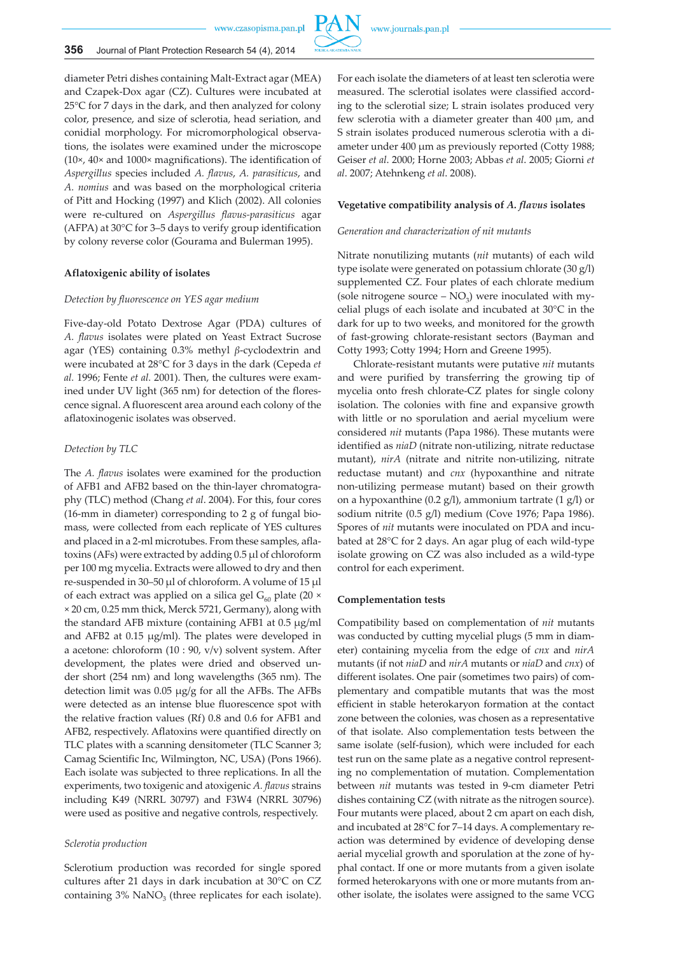

diameter Petri dishes containing Malt-Extract agar (MEA) and Czapek-Dox agar (CZ). Cultures were incubated at 25°C for 7 days in the dark, and then analyzed for colony color, presence, and size of sclerotia, head seriation, and conidial morphology. For micromorphological observations, the isolates were examined under the microscope (10×, 40× and 1000× magnifications). The identification of *Aspergillus* species included *A. flavus*, *A. parasiticus*, and *A. nomius* and was based on the morphological criteria of Pitt and Hocking (1997) and Klich (2002). All colonies were re-cultured on *Aspergillus flavus-parasiticus* agar (AFPA) at 30°C for 3–5 days to verify group identification by colony reverse color (Gourama and Bulerman 1995).

#### **Aflatoxigenic ability of isolates**

#### *Detection by fluorescence on YES agar medium*

Five-day-old Potato Dextrose Agar (PDA) cultures of *A. flavus* isolates were plated on Yeast Extract Sucrose agar (YES) containing 0.3% methyl *β*-cyclodextrin and were incubated at 28°C for 3 days in the dark (Cepeda *et al.* 1996; Fente *et al.* 2001). Then, the cultures were examined under UV light (365 nm) for detection of the florescence signal. A fluorescent area around each colony of the aflatoxinogenic isolates was observed.

#### *Detection by TLC*

The *A. flavus* isolates were examined for the production of AFB1 and AFB2 based on the thin-layer chromatography (TLC) method (Chang *et al*. 2004). For this, four cores (16-mm in diameter) corresponding to 2 g of fungal biomass, were collected from each replicate of YES cultures and placed in a 2-ml microtubes. From these samples, aflatoxins (AFs) were extracted by adding 0.5 µl of chloroform per 100 mg mycelia. Extracts were allowed to dry and then re-suspended in 30–50 µl of chloroform. A volume of 15 µl of each extract was applied on a silica gel  $G_{60}$  plate (20  $\times$ × 20 cm, 0.25 mm thick, Merck 5721, Germany), along with the standard AFB mixture (containing AFB1 at 0.5 µg/ml and AFB2 at 0.15 µg/ml). The plates were developed in a acetone: chloroform (10 : 90, v/v) solvent system. After development, the plates were dried and observed under short (254 nm) and long wavelengths (365 nm). The detection limit was 0.05 µg/g for all the AFBs. The AFBs were detected as an intense blue fluorescence spot with the relative fraction values (Rf) 0.8 and 0.6 for AFB1 and AFB2, respectively. Aflatoxins were quantified directly on TLC plates with a scanning densitometer (TLC Scanner 3; Camag Scientific Inc, Wilmington, NC, USA) (Pons 1966). Each isolate was subjected to three replications. In all the experiments, two toxigenic and atoxigenic *A. flavus* strains including K49 (NRRL 30797) and F3W4 (NRRL 30796) were used as positive and negative controls, respectively.

#### *Sclerotia production*

Sclerotium production was recorded for single spored cultures after 21 days in dark incubation at 30°C on CZ containing  $3\%$  NaNO<sub>3</sub> (three replicates for each isolate). For each isolate the diameters of at least ten sclerotia were measured. The sclerotial isolates were classified according to the sclerotial size; L strain isolates produced very few sclerotia with a diameter greater than 400 µm, and S strain isolates produced numerous sclerotia with a diameter under 400 µm as previously reported (Cotty 1988; Geiser *et al*. 2000; Horne 2003; Abbas *et al*. 2005; Giorni *et al*. 2007; Atehnkeng *et al*. 2008).

#### **Vegetative compatibility analysis of** *A. flavus* **isolates**

#### *Generation and characterization of nit mutants*

www.journals.pan.pl

Nitrate nonutilizing mutants (*nit* mutants) of each wild type isolate were generated on potassium chlorate (30 g/l) supplemented CZ. Four plates of each chlorate medium (sole nitrogene source  $- NO<sub>2</sub>$ ) were inoculated with mycelial plugs of each isolate and incubated at 30°C in the dark for up to two weeks, and monitored for the growth of fast-growing chlorate-resistant sectors (Bayman and Cotty 1993; Cotty 1994; Horn and Greene 1995).

Chlorate-resistant mutants were putative *nit* mutants and were purified by transferring the growing tip of mycelia onto fresh chlorate-CZ plates for single colony isolation. The colonies with fine and expansive growth with little or no sporulation and aerial mycelium were considered *nit* mutants (Papa 1986). These mutants were identified as *niaD* (nitrate non-utilizing, nitrate reductase mutant), *nirA* (nitrate and nitrite non-utilizing, nitrate reductase mutant) and *cnx* (hypoxanthine and nitrate non-utilizing permease mutant) based on their growth on a hypoxanthine (0.2 g/l), ammonium tartrate (1 g/l) or sodium nitrite (0.5 g/l) medium (Cove 1976; Papa 1986). Spores of *nit* mutants were inoculated on PDA and incubated at 28°C for 2 days. An agar plug of each wild-type isolate growing on CZ was also included as a wild-type control for each experiment.

#### **Complementation tests**

Compatibility based on complementation of *nit* mutants was conducted by cutting mycelial plugs (5 mm in diameter) containing mycelia from the edge of *cnx* and *nirA* mutants (if not *niaD* and *nirA* mutants or *niaD* and *cnx*) of different isolates. One pair (sometimes two pairs) of complementary and compatible mutants that was the most efficient in stable heterokaryon formation at the contact zone between the colonies, was chosen as a representative of that isolate. Also complementation tests between the same isolate (self-fusion), which were included for each test run on the same plate as a negative control representing no complementation of mutation. Complementation between *nit* mutants was tested in 9-cm diameter Petri dishes containing CZ (with nitrate as the nitrogen source). Four mutants were placed, about 2 cm apart on each dish, and incubated at 28°C for 7–14 days. A complementary reaction was determined by evidence of developing dense aerial mycelial growth and sporulation at the zone of hyphal contact. If one or more mutants from a given isolate formed heterokaryons with one or more mutants from another isolate, the isolates were assigned to the same VCG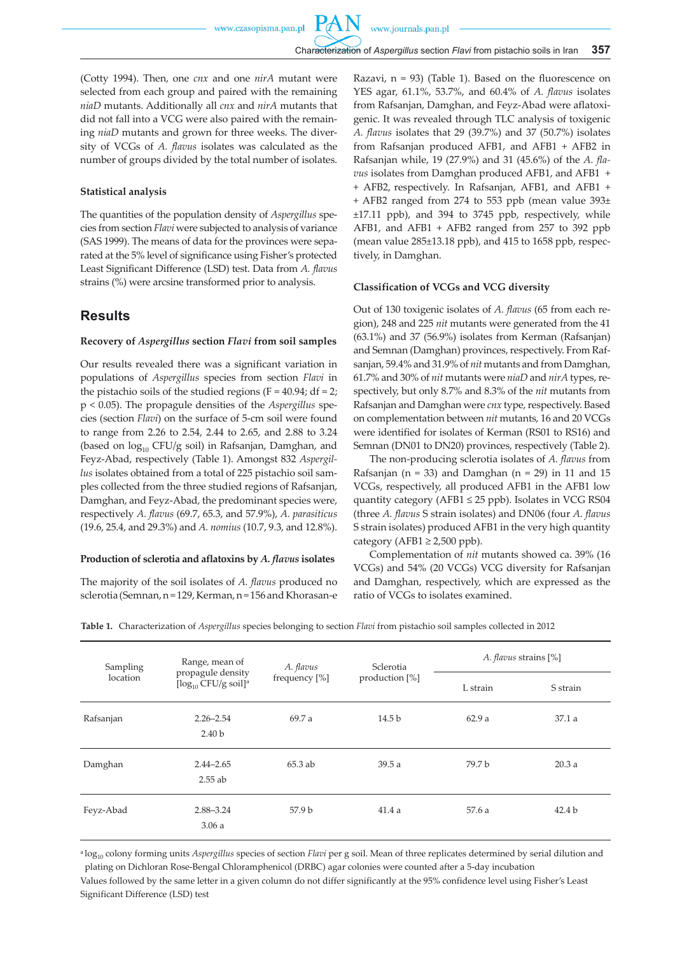(Cotty 1994). Then, one *cnx* and one *nirA* mutant were selected from each group and paired with the remaining *niaD* mutants. Additionally all *cnx* and *nirA* mutants that did not fall into a VCG were also paired with the remaining *niaD* mutants and grown for three weeks. The diversity of VCGs of *A. flavus* isolates was calculated as the number of groups divided by the total number of isolates.

### **Statistical analysis**

The quantities of the population density of *Aspergillus* species from section *Flavi* were subjected to analysis of variance (SAS 1999). The means of data for the provinces were separated at the 5% level of significance using Fisher's protected Least Significant Difference (LSD) test. Data from *A. flavus*  strains (%) were arcsine transformed prior to analysis.

### **Results**

#### **Recovery of** *Aspergillus* **section** *Flavi* **from soil samples**

Our results revealed there was a significant variation in populations of *Aspergillus* species from section *Flavi* in the pistachio soils of the studied regions ( $F = 40.94$ ; df = 2; p < 0.05). The propagule densities of the *Aspergillus* species (section *Flavi*) on the surface of 5-cm soil were found to range from 2.26 to 2.54, 2.44 to 2.65, and 2.88 to 3.24 (based on  $log_{10}$  CFU/g soil) in Rafsanjan, Damghan, and Feyz-Abad, respectively (Table 1). Amongst 832 *Aspergillus* isolates obtained from a total of 225 pistachio soil samples collected from the three studied regions of Rafsanjan, Damghan, and Feyz-Abad, the predominant species were, respectively *A. flavus* (69.7, 65.3, and 57.9%), *A. parasiticus*  (19.6, 25.4, and 29.3%) and *A. nomius* (10.7, 9.3, and 12.8%).

#### **Production of sclerotia and aflatoxins by** *A. flavus* **isolates**

The majority of the soil isolates of *A. flavus* produced no sclerotia (Semnan, n = 129, Kerman, n = 156 and Khorasan-e Razavi,  $n = 93$ ) (Table 1). Based on the fluorescence on YES agar, 61.1%, 53.7%, and 60.4% of *A. flavus* isolates from Rafsanjan, Damghan, and Feyz-Abad were aflatoxigenic. It was revealed through TLC analysis of toxigenic *A. flavus* isolates that 29 (39.7%) and 37 (50.7%) isolates from Rafsanjan produced AFB1, and AFB1 + AFB2 in Rafsanjan while, 19 (27.9%) and 31 (45.6%) of the *A. flavus* isolates from Damghan produced AFB1, and AFB1 + + AFB2, respectively. In Rafsanjan, AFB1, and AFB1 + + AFB2 ranged from 274 to 553 ppb (mean value 393± ±17.11 ppb), and 394 to 3745 ppb, respectively, while AFB1, and AFB1 + AFB2 ranged from 257 to 392 ppb (mean value 285±13.18 ppb), and 415 to 1658 ppb, respectively, in Damghan.

#### **Classification of VCGs and VCG diversity**

Out of 130 toxigenic isolates of *A. flavus* (65 from each region), 248 and 225 *nit* mutants were generated from the 41 (63.1%) and 37 (56.9%) isolates from Kerman (Rafsanjan) and Semnan (Damghan) provinces, respectively. From Rafsanjan, 59.4% and 31.9% of *nit* mutants and from Damghan, 61.7% and 30% of *nit* mutants were *niaD* and *nirA* types, respectively, but only 8.7% and 8.3% of the *nit* mutants from Rafsanjan and Damghan were *cnx* type, respectively. Based on complementation between *nit* mutants, 16 and 20 VCGs were identified for isolates of Kerman (RS01 to RS16) and Semnan (DN01 to DN20) provinces, respectively (Table 2).

The non-producing sclerotia isolates of *A. flavus* from Rafsanjan (n = 33) and Damghan (n = 29) in 11 and 15 VCGs, respectively, all produced AFB1 in the AFB1 low quantity category (AFB1 ≤ 25 ppb). Isolates in VCG RS04 (three *A. flavus* S strain isolates) and DN06 (four *A. flavus* S strain isolates) produced AFB1 in the very high quantity category (AFB1  $\geq$  2,500 ppb).

Complementation of *nit* mutants showed ca. 39% (16 VCGs) and 54% (20 VCGs) VCG diversity for Rafsanjan and Damghan, respectively, which are expressed as the ratio of VCGs to isolates examined.

**Table 1.** Characterization of *Aspergillus* species belonging to section *Flavi* from pistachio soil samples collected in 2012

| Sampling<br>location | Range, mean of<br>propagule density<br>$[\log_{10}$ CFU/g soil] <sup>a</sup> | A. flavus<br>frequency [%] | Sclerotia<br>production $[\%]$ | A. flavus strains [%] |                   |
|----------------------|------------------------------------------------------------------------------|----------------------------|--------------------------------|-----------------------|-------------------|
|                      |                                                                              |                            |                                | L strain              | S strain          |
| Rafsanjan            | $2.26 - 2.54$<br>2.40 <sub>b</sub>                                           | 69.7 a                     | 14.5 <sub>b</sub>              | 62.9a                 | 37.1a             |
| Damghan              | $2.44 - 2.65$<br>$2.55$ ab                                                   | $65.3$ ab                  | 39.5a                          | 79.7 b                | 20.3a             |
| Feyz-Abad            | 2.88-3.24<br>3.06a                                                           | 57.9 <sub>b</sub>          | 41.4a                          | 57.6a                 | 42.4 <sub>b</sub> |

<sup>a</sup> log<sub>10</sub> colony forming units *Aspergillus* species of section *Flavi* per g soil. Mean of three replicates determined by serial dilution and plating on Dichloran Rose-Bengal Chloramphenicol (DRBC) agar colonies were counted after a 5-day incubation

Values followed by the same letter in a given column do not differ significantly at the 95% confidence level using Fisher's Least Significant Difference (LSD) test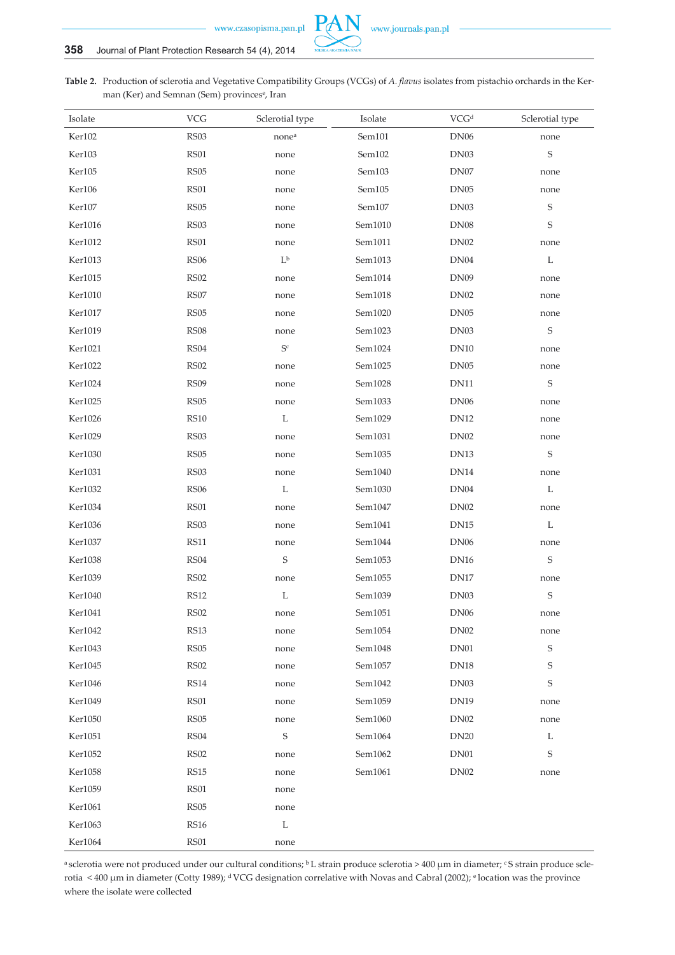

**Table 2.** Production of sclerotia and Vegetative Compatibility Groups (VCGs) of *A. flavus* isolates from pistachio orchards in the Kerman (Ker) and Semnan (Sem) provinces<sup>e</sup>, Iran

| Isolate | <b>VCG</b>       | Sclerotial type           | Isolate | VCGd             | Sclerotial type |
|---------|------------------|---------------------------|---------|------------------|-----------------|
| Ker102  | RS03             | none <sup>a</sup>         | Sem101  | <b>DN06</b>      | none            |
| Ker103  | RS01             | none                      | Sem102  | DN <sub>03</sub> | $\mathbf S$     |
| Ker105  | <b>RS05</b>      | none                      | Sem103  | DN07             | none            |
| Ker106  | RS01             | none                      | Sem105  | <b>DN05</b>      | none            |
| Ker107  | RS <sub>05</sub> | none                      | Sem107  | DN <sub>03</sub> | $\mathbf S$     |
| Ker1016 | <b>RS03</b>      | none                      | Sem1010 | <b>DN08</b>      | S               |
| Ker1012 | RS01             | none                      | Sem1011 | <b>DN02</b>      | none            |
| Ker1013 | RS06             | $L^{\mathfrak{b}}$        | Sem1013 | DN04             | L               |
| Ker1015 | <b>RS02</b>      | none                      | Sem1014 | <b>DN09</b>      | none            |
| Ker1010 | RS07             | none                      | Sem1018 | <b>DN02</b>      | none            |
| Ker1017 | <b>RS05</b>      | none                      | Sem1020 | <b>DN05</b>      | none            |
| Ker1019 | <b>RS08</b>      | none                      | Sem1023 | DN <sub>03</sub> | $\mathbf S$     |
| Ker1021 | RS04             | $\mathsf{S}^{\mathsf{c}}$ | Sem1024 | <b>DN10</b>      | none            |
| Ker1022 | <b>RS02</b>      | none                      | Sem1025 | <b>DN05</b>      | none            |
| Ker1024 | <b>RS09</b>      | none                      | Sem1028 | <b>DN11</b>      | $\mathsf S$     |
| Ker1025 | RS <sub>05</sub> | none                      | Sem1033 | <b>DN06</b>      | none            |
| Ker1026 | <b>RS10</b>      | $\Gamma$                  | Sem1029 | <b>DN12</b>      | none            |
| Ker1029 | RS03             | none                      | Sem1031 | <b>DN02</b>      | none            |
| Ker1030 | <b>RS05</b>      | none                      | Sem1035 | DN <sub>13</sub> | $\mathbf S$     |
| Ker1031 | RS03             | none                      | Sem1040 | DN <sub>14</sub> | none            |
| Ker1032 | <b>RS06</b>      | L                         | Sem1030 | DN04             | L               |
| Ker1034 | <b>RS01</b>      | none                      | Sem1047 | <b>DN02</b>      | none            |
| Ker1036 | <b>RS03</b>      | none                      | Sem1041 | <b>DN15</b>      | L               |
| Ker1037 | <b>RS11</b>      | none                      | Sem1044 | <b>DN06</b>      | none            |
| Ker1038 | $\rm RS04$       | $\mathbf S$               | Sem1053 | <b>DN16</b>      | $\mathbf S$     |
| Ker1039 | <b>RS02</b>      | none                      | Sem1055 | DN17             | none            |
| Ker1040 | RS12             | $\mathbf L$               | Sem1039 | DN <sub>03</sub> | $\mathbf S$     |
| Ker1041 | <b>RS02</b>      | none                      | Sem1051 | <b>DN06</b>      | none            |
| Ker1042 | <b>RS13</b>      | none                      | Sem1054 | <b>DN02</b>      | none            |
| Ker1043 | <b>RS05</b>      | none                      | Sem1048 | DN01             | $\mathbf S$     |
| Ker1045 | <b>RS02</b>      | none                      | Sem1057 | <b>DN18</b>      | S               |
| Ker1046 | <b>RS14</b>      | none                      | Sem1042 | DN <sub>03</sub> | S               |
| Ker1049 | RS <sub>01</sub> | none                      | Sem1059 | <b>DN19</b>      | none            |
| Ker1050 | <b>RS05</b>      | none                      | Sem1060 | DN <sub>02</sub> | none            |
| Ker1051 | <b>RS04</b>      | $\mathbf S$               | Sem1064 | <b>DN20</b>      | L               |
| Ker1052 | <b>RS02</b>      | none                      | Sem1062 | DN <sub>01</sub> | S               |
| Ker1058 | <b>RS15</b>      | none                      | Sem1061 | <b>DN02</b>      | none            |
| Ker1059 | <b>RS01</b>      | none                      |         |                  |                 |
| Ker1061 | RS <sub>05</sub> | none                      |         |                  |                 |
| Ker1063 | <b>RS16</b>      | L                         |         |                  |                 |
| Ker1064 | RS01             | none                      |         |                  |                 |

a sclerotia were not produced under our cultural conditions; <sup>b</sup>L strain produce sclerotia > 400 µm in diameter; <sup>c</sup>S strain produce sclerotia < 400 µm in diameter (Cotty 1989); d VCG designation correlative with Novas and Cabral (2002); e location was the province where the isolate were collected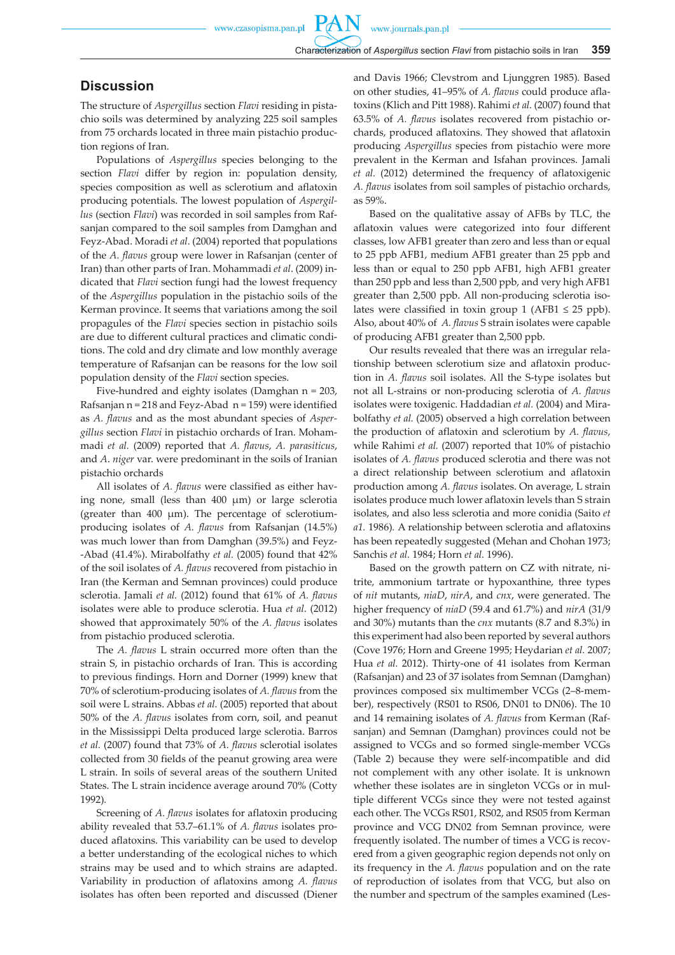PA

### **Discussion**

The structure of *Aspergillus* section *Flavi* residing in pistachio soils was determined by analyzing 225 soil samples from 75 orchards located in three main pistachio production regions of Iran.

Populations of *Aspergillus* species belonging to the section *Flavi* differ by region in: population density, species composition as well as sclerotium and aflatoxin producing potentials. The lowest population of *Aspergillus* (section *Flavi*) was recorded in soil samples from Rafsanjan compared to the soil samples from Damghan and Feyz-Abad. Moradi *et al*. (2004) reported that populations of the *A. flavus* group were lower in Rafsanjan (center of Iran) than other parts of Iran. Mohammadi *et al*. (2009) indicated that *Flavi* section fungi had the lowest frequency of the *Aspergillus* population in the pistachio soils of the Kerman province. It seems that variations among the soil propagules of the *Flavi* species section in pistachio soils are due to different cultural practices and climatic conditions. The cold and dry climate and low monthly average temperature of Rafsanjan can be reasons for the low soil population density of the *Flavi* section species.

Five-hundred and eighty isolates (Damghan n = 203, Rafsanjan  $n = 218$  and Feyz-Abad  $n = 159$ ) were identified as *A. flavus* and as the most abundant species of *Aspergillus* section *Flavi* in pistachio orchards of Iran. Mohammadi *et al.* (2009) reported that *A. flavus*, *A. parasiticus*, and *A*. *niger* var. were predominant in the soils of Iranian pistachio orchards

All isolates of *A. flavus* were classified as either having none, small (less than 400 µm) or large sclerotia (greater than 400 µm). The percentage of sclerotiumproducing isolates of *A. flavus* from Rafsanjan (14.5%) was much lower than from Damghan (39.5%) and Feyz- -Abad (41.4%). Mirabolfathy *et al.* (2005) found that 42% of the soil isolates of *A. flavus* recovered from pistachio in Iran (the Kerman and Semnan provinces) could produce sclerotia. Jamali *et al.* (2012) found that 61% of *A. flavus* isolates were able to produce sclerotia. Hua *et al*. (2012) showed that approximately 50% of the *A. flavus* isolates from pistachio produced sclerotia.

The *A. flavus* L strain occurred more often than the strain S, in pistachio orchards of Iran. This is according to previous findings. Horn and Dorner (1999) knew that 70% of sclerotium-producing isolates of *A. flavus* from the soil were L strains. Abbas *et al.* (2005) reported that about 50% of the *A. flavus* isolates from corn, soil, and peanut in the Mississippi Delta produced large sclerotia. Barros *et al.* (2007) found that 73% of *A. flavus* sclerotial isolates collected from 30 fields of the peanut growing area were L strain. In soils of several areas of the southern United States. The L strain incidence average around 70% (Cotty 1992)*.*

Screening of *A. flavus* isolates for aflatoxin producing ability revealed that 53.7–61.1% of *A. flavus* isolates produced aflatoxins. This variability can be used to develop a better understanding of the ecological niches to which strains may be used and to which strains are adapted. Variability in production of aflatoxins among *A. flavus*  isolates has often been reported and discussed (Diener and Davis 1966; Clevstrom and Ljunggren 1985)*.* Based on other studies, 41–95% of *A. flavus* could produce aflatoxins (Klich and Pitt 1988). Rahimi *et al.* (2007) found that 63.5% of *A. flavus* isolates recovered from pistachio orchards, produced aflatoxins. They showed that aflatoxin producing *Aspergillus* species from pistachio were more prevalent in the Kerman and Isfahan provinces. Jamali *et al.* (2012) determined the frequency of aflatoxigenic *A. flavus* isolates from soil samples of pistachio orchards, as 59%.

Based on the qualitative assay of AFBs by TLC, the aflatoxin values were categorized into four different classes, low AFB1 greater than zero and less than or equal to 25 ppb AFB1, medium AFB1 greater than 25 ppb and less than or equal to 250 ppb AFB1, high AFB1 greater than 250 ppb and less than 2,500 ppb, and very high AFB1 greater than 2,500 ppb. All non-producing sclerotia isolates were classified in toxin group 1 (AFB1  $\leq$  25 ppb). Also, about 40% of *A. flavus* S strain isolates were capable of producing AFB1 greater than 2,500 ppb.

Our results revealed that there was an irregular relationship between sclerotium size and aflatoxin production in *A. flavus* soil isolates. All the S-type isolates but not all L-strains or non-producing sclerotia of *A. flavus* isolates were toxigenic. Haddadian *et al.* (2004) and Mirabolfathy *et al.* (2005) observed a high correlation between the production of aflatoxin and sclerotium by *A. flavus*, while Rahimi *et al.* (2007) reported that 10% of pistachio isolates of *A. flavus* produced sclerotia and there was not a direct relationship between sclerotium and aflatoxin production among *A. flavus* isolates. On average, L strain isolates produce much lower aflatoxin levels than S strain isolates, and also less sclerotia and more conidia (Saito *et a1.* 1986)*.* A relationship between sclerotia and aflatoxins has been repeatedly suggested (Mehan and Chohan 1973; Sanchis *et al.* 1984; Horn *et al.* 1996).

Based on the growth pattern on CZ with nitrate, nitrite, ammonium tartrate or hypoxanthine, three types of *nit* mutants, *niaD*, *nirA*, and *cnx*, were generated. The higher frequency of *niaD* (59.4 and 61.7%) and *nirA* (31/9 and 30%) mutants than the *cnx* mutants (8.7 and 8.3%) in this experiment had also been reported by several authors (Cove 1976; Horn and Greene 1995; Heydarian *et al.* 2007; Hua *et al.* 2012). Thirty-one of 41 isolates from Kerman (Rafsanjan) and 23 of 37 isolates from Semnan (Damghan) provinces composed six multimember VCGs (2–8-member), respectively (RS01 to RS06, DN01 to DN06). The 10 and 14 remaining isolates of *A. flavus* from Kerman (Rafsanjan) and Semnan (Damghan) provinces could not be assigned to VCGs and so formed single-member VCGs (Table 2) because they were self-incompatible and did not complement with any other isolate. It is unknown whether these isolates are in singleton VCGs or in multiple different VCGs since they were not tested against each other. The VCGs RS01, RS02, and RS05 from Kerman province and VCG DN02 from Semnan province, were frequently isolated. The number of times a VCG is recovered from a given geographic region depends not only on its frequency in the *A. flavus* population and on the rate of reproduction of isolates from that VCG, but also on the number and spectrum of the samples examined (Les-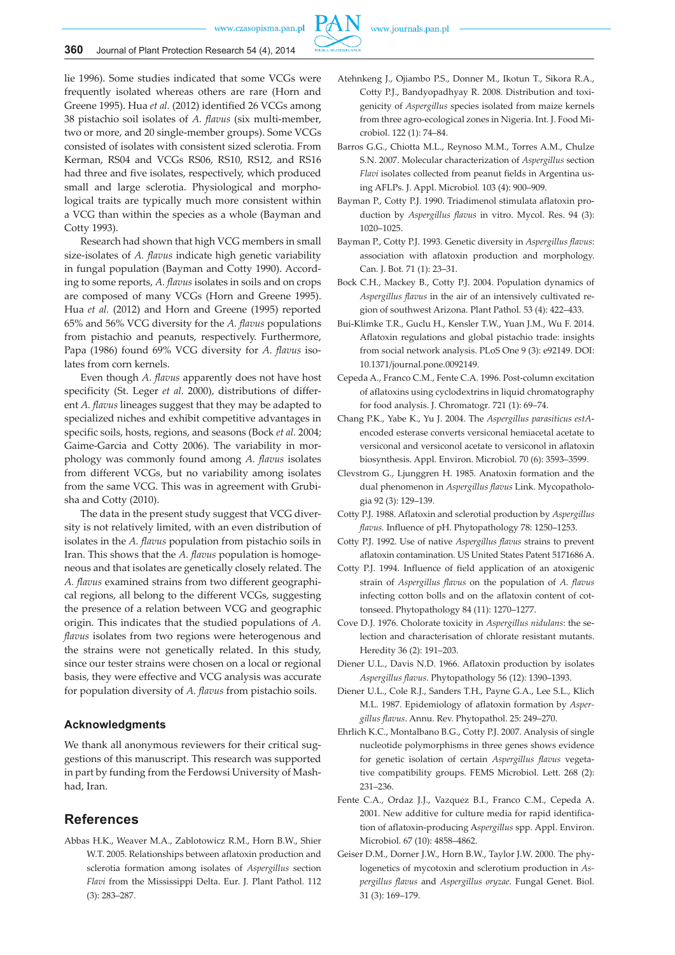

lie 1996). Some studies indicated that some VCGs were frequently isolated whereas others are rare (Horn and Greene 1995). Hua *et al.* (2012) identified 26 VCGs among 38 pistachio soil isolates of *A. flavus* (six multi-member, two or more, and 20 single-member groups). Some VCGs consisted of isolates with consistent sized sclerotia. From Kerman, RS04 and VCGs RS06, RS10, RS12, and RS16 had three and five isolates, respectively, which produced small and large sclerotia. Physiological and morphological traits are typically much more consistent within a VCG than within the species as a whole (Bayman and Cotty 1993).

Research had shown that high VCG members in small size-isolates of *A. flavus* indicate high genetic variability in fungal population (Bayman and Cotty 1990). According to some reports, *A. flavus* isolates in soils and on crops are composed of many VCGs (Horn and Greene 1995). Hua *et al.* (2012) and Horn and Greene (1995) reported 65% and 56% VCG diversity for the *A. flavus* populations from pistachio and peanuts, respectively. Furthermore, Papa (1986) found 69% VCG diversity for *A. flavus* isolates from corn kernels.

Even though *A. flavus* apparently does not have host specificity (St. Leger *et al*. 2000), distributions of different *A. flavus* lineages suggest that they may be adapted to specialized niches and exhibit competitive advantages in specific soils, hosts, regions, and seasons (Bock *et al.* 2004; Gaime-Garcia and Cotty 2006). The variability in morphology was commonly found among *A. flavus* isolates from different VCGs, but no variability among isolates from the same VCG. This was in agreement with Grubisha and Cotty (2010).

The data in the present study suggest that VCG diversity is not relatively limited, with an even distribution of isolates in the *A. flavus* population from pistachio soils in Iran. This shows that the *A. flavus* population is homogeneous and that isolates are genetically closely related. The *A. flavus* examined strains from two different geographical regions, all belong to the different VCGs, suggesting the presence of a relation between VCG and geographic origin. This indicates that the studied populations of *A. flavus* isolates from two regions were heterogenous and the strains were not genetically related. In this study, since our tester strains were chosen on a local or regional basis, they were effective and VCG analysis was accurate for population diversity of *A. flavus* from pistachio soils.

### **Acknowledgments**

We thank all anonymous reviewers for their critical suggestions of this manuscript. This research was supported in part by funding from the Ferdowsi University of Mashhad, Iran.

# **References**

Abbas H.K., Weaver M.A., Zablotowicz R.M., Horn B.W., Shier W.T. 2005. Relationships between aflatoxin production and sclerotia formation among isolates of *Aspergillus* section *Flavi* from the Mississippi Delta. Eur. J. Plant Pathol. 112 (3): 283–287.

- Atehnkeng J., Ojiambo P.S., Donner M., Ikotun T., Sikora R.A., Cotty P.J., Bandyopadhyay R. 2008. Distribution and toxigenicity of *Aspergillus* species isolated from maize kernels from three agro-ecological zones in Nigeria. Int. J. Food Microbiol. 122 (1): 74–84.
- Barros G.G., Chiotta M.L., Reynoso M.M., Torres A.M., Chulze S.N. 2007. Molecular characterization of *Aspergillus* section *Flavi* isolates collected from peanut fields in Argentina using AFLPs. J. Appl. Microbiol*.* 103 (4): 900–909.
- Bayman P., Cotty P.J. 1990. Triadimenol stimulata aflatoxin production by *Aspergillus flavus* in vitro. Mycol. Res. 94 (3): 1020–1025.
- Bayman P., Cotty P.J. 1993. Genetic diversity in *Aspergillus flavus*: association with aflatoxin production and morphology. Can. J. Bot*.* 71 (1): 23–31.
- Bock C.H., Mackey B., Cotty P.J. 2004. Population dynamics of *Aspergillus flavus* in the air of an intensively cultivated region of southwest Arizona. Plant Pathol*.* 53 (4): 422–433.
- Bui-Klimke T.R., Guclu H., Kensler T.W., Yuan J.M., Wu F. 2014. Aflatoxin regulations and global pistachio trade: insights from social network analysis. PLoS One 9 (3): e92149. DOI: 10.1371/journal.pone.0092149.
- Cepeda A., Franco C.M., Fente C.A. 1996. Post-column excitation of aflatoxins using cyclodextrins in liquid chromatography for food analysis. J. Chromatogr*.* 721 (1): 69–74.
- Chang P.K., Yabe K., Yu J. 2004. The *Aspergillus parasiticus estA*encoded esterase converts versiconal hemiacetal acetate to versiconal and versiconol acetate to versiconol in aflatoxin biosynthesis. Appl. Environ. Microbiol*.* 70 (6): 3593–3599.
- Clevstrom G., Ljunggren H. 1985. Anatoxin formation and the dual phenomenon in *Aspergillus flavus* Link. Mycopathologia 92 (3): 129–139.
- Cotty P.J. 1988. Aflatoxin and sclerotial production by *Aspergillus flavus.* Influence of pH. Phytopathology 78: 1250–1253.
- Cotty P.J. 1992. Use of native *Aspergillus flavus* strains to prevent aflatoxin contamination. US United States Patent 5171686 A.
- Cotty P.J. 1994. Influence of field application of an atoxigenic strain of *Aspergillus flavus* on the population of *A. flavus*  infecting cotton bolls and on the aflatoxin content of cottonseed. Phytopathology 84 (11): 1270–1277.
- Cove D.J. 1976. Cholorate toxicity in *Aspergillus nidulans*: the selection and characterisation of chlorate resistant mutants. Heredity 36 (2): 191–203.
- Diener U.L., Davis N.D. 1966. Aflatoxin production by isolates *Aspergillus flavus*. Phytopathology 56 (12): 1390–1393.
- Diener U.L., Cole R.J., Sanders T.H., Payne G.A., Lee S.L., Klich M.L. 1987. Epidemiology of aflatoxin formation by *Aspergillus flavus*. Annu. Rev. Phytopathol. 25: 249–270.
- Ehrlich K.C., Montalbano B.G., Cotty P.J. 2007. Analysis of single nucleotide polymorphisms in three genes shows evidence for genetic isolation of certain *Aspergillus flavus* vegetative compatibility groups. FEMS Microbiol. Lett. 268 (2): 231–236.
- Fente C.A., Ordaz J.J., Vazquez B.I., Franco C.M., Cepeda A. 2001. New additive for culture media for rapid identification of aflatoxin-producing A*spergillus* spp. Appl. Environ. Microbiol. 67 (10): 4858–4862.
- Geiser D.M., Dorner J.W., Horn B.W., Taylor J.W. 2000. The phylogenetics of mycotoxin and sclerotium production in *Aspergillus flavus* and *Aspergillus oryzae*. Fungal Genet. Biol*.*  31 (3): 169–179.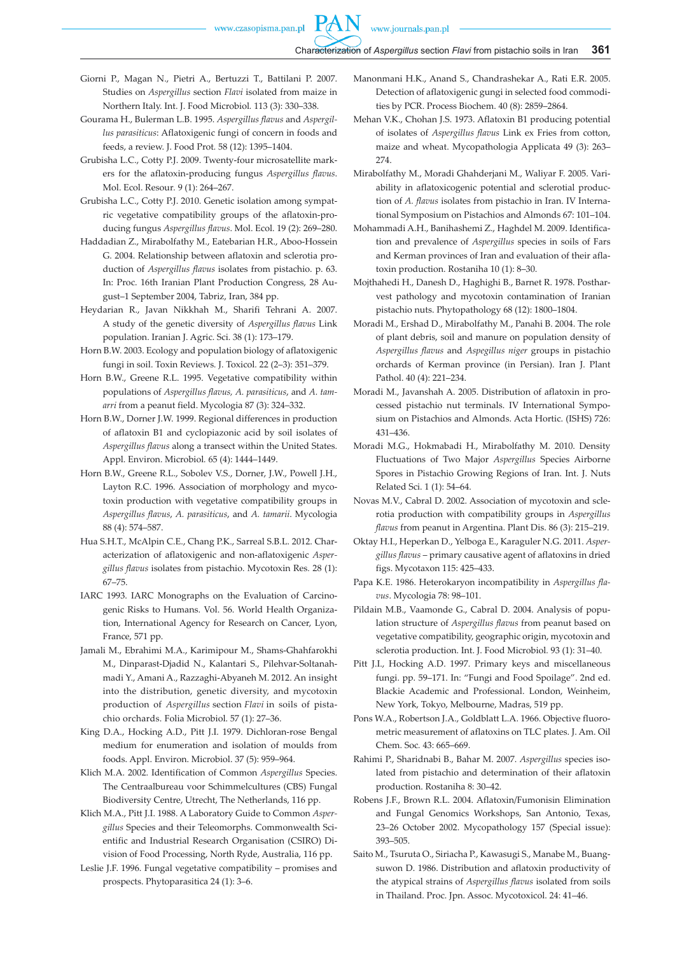- Giorni P., Magan N., Pietri A., Bertuzzi T., Battilani P. 2007. Studies on *Aspergillus* section *Flavi* isolated from maize in Northern Italy. Int. J. Food Microbiol*.* 113 (3): 330–338.
- Gourama H., Bulerman L.B. 1995. *Aspergillus flavus* and *Aspergillus parasiticus*: Aflatoxigenic fungi of concern in foods and feeds, a review. J. Food Prot*.* 58 (12): 1395–1404.
- Grubisha L.C., Cotty P.J. 2009. Twenty-four microsatellite markers for the aflatoxin-producing fungus *Aspergillus flavus*. Mol. Ecol. Resour*.* 9 (1): 264–267.
- Grubisha L.C., Cotty P.J. 2010. Genetic isolation among sympatric vegetative compatibility groups of the aflatoxin-producing fungus *Aspergillus flavus*. Mol. Ecol. 19 (2): 269–280.
- Haddadian Z., Mirabolfathy M., Eatebarian H.R., Aboo-Hossein G. 2004. Relationship between aflatoxin and sclerotia production of *Aspergillus flavus* isolates from pistachio. p. 63. In: Proc. 16th Iranian Plant Production Congress, 28 August–1 September 2004, Tabriz, Iran, 384 pp.
- Heydarian R., Javan Nikkhah M., Sharifi Tehrani A. 2007. A study of the genetic diversity of *Aspergillus flavus* Link population. Iranian J. Agric. Sci. 38 (1): 173–179.
- Horn B.W. 2003. Ecology and population biology of aflatoxigenic fungi in soil. Toxin Reviews*.* J. Toxicol*.* 22 (2–3): 351–379.
- Horn B.W., Greene R.L. 1995. Vegetative compatibility within populations of *Aspergillus flavus, A. parasiticus*, and *A. tamarri* from a peanut field. Mycologia 87 (3): 324–332.
- Horn B.W., Dorner J.W. 1999. Regional differences in production of aflatoxin B1 and cyclopiazonic acid by soil isolates of *Aspergillus flavus* along a transect within the United States. Appl. Environ. Microbiol*.* 65 (4): 1444–1449.
- Horn B.W., Greene R.L., Sobolev V.S., Dorner, J.W., Powell J.H., Layton R.C. 1996. Association of morphology and mycotoxin production with vegetative compatibility groups in *Aspergillus flavus*, *A. parasiticus*, and *A. tamarii*. Mycologia 88 (4): 574–587.
- Hua S.H.T., McAlpin C.E., Chang P.K., Sarreal S.B.L. 2012. Characterization of aflatoxigenic and non-aflatoxigenic *Aspergillus flavus* isolates from pistachio. Mycotoxin Res*.* 28 (1): 67–75.
- IARC 1993. IARC Monographs on the Evaluation of Carcinogenic Risks to Humans. Vol. 56. World Health Organization, International Agency for Research on Cancer, Lyon, France, 571 pp.
- Jamali M., Ebrahimi M.A., Karimipour M., Shams-Ghahfarokhi M., Dinparast-Djadid N., Kalantari S., Pilehvar-Soltanahmadi Y., Amani A., Razzaghi-Abyaneh M. 2012. An insight into the distribution, genetic diversity, and mycotoxin production of *Aspergillus* section *Flavi* in soils of pistachio orchards. Folia Microbiol. 57 (1): 27–36.
- King D.A., Hocking A.D., Pitt J.I. 1979. Dichloran-rose Bengal medium for enumeration and isolation of moulds from foods. Appl. Environ. Microbiol. 37 (5): 959–964.
- Klich M.A. 2002. Identification of Common *Aspergillus* Species. The Centraalbureau voor Schimmelcultures (CBS) Fungal Biodiversity Centre, Utrecht, The Netherlands, 116 pp.
- Klich M.A., Pitt J.I. 1988. A Laboratory Guide to Common *Aspergillus* Species and their Teleomorphs. Commonwealth Scientific and Industrial Research Organisation (CSIRO) Division of Food Processing, North Ryde, Australia, 116 pp.
- Leslie J.F. 1996. Fungal vegetative compatibility promises and prospects. Phytoparasitica 24 (1): 3–6.
- Manonmani H.K., Anand S., Chandrashekar A., Rati E.R. 2005. Detection of aflatoxigenic gungi in selected food commodities by PCR. Process Biochem. 40 (8): 2859–2864.
- Mehan V.K., Chohan J.S. 1973. Aflatoxin B1 producing potential of isolates of *Aspergillus flavus* Link ex Fries from cotton, maize and wheat. Mycopathologia Applicata 49 (3): 263– 274.
- Mirabolfathy M., Moradi Ghahderjani M., Waliyar F. 2005. Variability in aflatoxicogenic potential and sclerotial production of *A. flavus* isolates from pistachio in Iran. IV International Symposium on Pistachios and Almonds 67: 101–104.
- Mohammadi A.H., Banihashemi Z., Haghdel M. 2009. Identification and prevalence of *Aspergillus* species in soils of Fars and Kerman provinces of Iran and evaluation of their aflatoxin production. Rostaniha 10 (1): 8–30.
- Mojthahedi H., Danesh D., Haghighi B., Barnet R. 1978. Postharvest pathology and mycotoxin contamination of Iranian pistachio nuts. Phytopathology 68 (12): 1800–1804.
- Moradi M., Ershad D., Mirabolfathy M., Panahi B. 2004. The role of plant debris, soil and manure on population density of *Aspergillus flavus* and *Aspegillus niger* groups in pistachio orchards of Kerman province (in Persian). Iran J. Plant Pathol. 40 (4): 221–234.
- Moradi M., Javanshah A. 2005. Distribution of aflatoxin in processed pistachio nut terminals. IV International Symposium on Pistachios and Almonds. Acta Hortic. (ISHS) 726: 431–436.
- Moradi M.G., Hokmabadi H., Mirabolfathy M. 2010. Density Fluctuations of Two Major *Aspergillus* Species Airborne Spores in Pistachio Growing Regions of Iran. Int. J. Nuts Related Sci. 1 (1): 54–64.
- Novas M.V., Cabral D. 2002. Association of mycotoxin and sclerotia production with compatibility groups in *Aspergillus flavus* from peanut in Argentina. Plant Dis. 86 (3): 215–219.
- Oktay H.I., Heperkan D., Yelboga E., Karaguler N.G. 2011. *Aspergillus flavus* – primary causative agent of aflatoxins in dried figs. Mycotaxon 115: 425–433.
- Papa K.E. 1986. Heterokaryon incompatibility in *Aspergillus flavus*. Mycologia 78: 98–101.
- Pildain M.B., Vaamonde G., Cabral D. 2004. Analysis of population structure of *Aspergillus flavus* from peanut based on vegetative compatibility, geographic origin, mycotoxin and sclerotia production. Int. J. Food Microbiol*.* 93 (1): 31–40.
- Pitt J.I., Hocking A.D. 1997. Primary keys and miscellaneous fungi. pp. 59–171. In: "Fungi and Food Spoilage". 2nd ed. Blackie Academic and Professional. London, Weinheim, New York, Tokyo, Melbourne, Madras, 519 pp.
- Pons W.A., Robertson J.A., Goldblatt L.A. 1966. Objective fluorometric measurement of aflatoxins on TLC plates. J. Am. Oil Chem. Soc*.* 43: 665–669.
- Rahimi P., Sharidnabi B., Bahar M. 2007. *Aspergillus* species isolated from pistachio and determination of their aflatoxin production. Rostaniha 8: 30–42.
- Robens J.F., Brown R.L. 2004. Aflatoxin/Fumonisin Elimination and Fungal Genomics Workshops, San Antonio, Texas, 23–26 October 2002. Mycopathology 157 (Special issue): 393–505.
- Saito M., Tsuruta O., Siriacha P., Kawasugi S., Manabe M., Buangsuwon D. 1986. Distribution and aflatoxin productivity of the atypical strains of *Aspergillus flavus* isolated from soils in Thailand. Proc. Jpn. Assoc. Mycotoxicol. 24: 41–46.